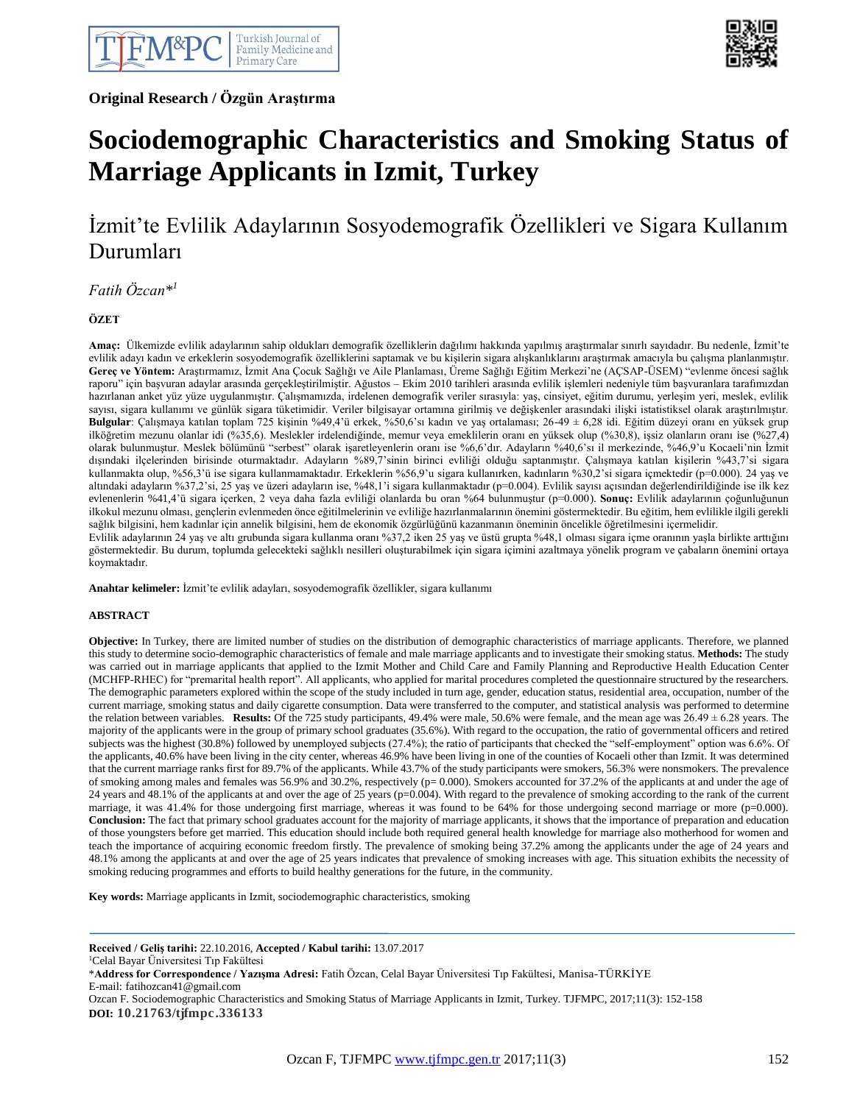**Original Research / Özgün Araştırma**



# **Sociodemographic Characteristics and Smoking Status of Marriage Applicants in Izmit, Turkey**

 $\overline{a}$ 

# İzmit'te Evlilik Adaylarının Sosyodemografik Özellikleri ve Sigara Kullanım Durumları

*Fatih Özcan\* 1*

**ÖZET**

**Amaç:** Ülkemizde evlilik adaylarının sahip oldukları demografik özelliklerin dağılımı hakkında yapılmış araştırmalar sınırlı sayıdadır. Bu nedenle, İzmit'te evlilik adayı kadın ve erkeklerin sosyodemografik özelliklerini saptamak ve bu kişilerin sigara alışkanlıklarını araştırmak amacıyla bu çalışma planlanmıştır. **Gereç ve Yöntem:** Araştırmamız, İzmit Ana Çocuk Sağlığı ve Aile Planlaması, Üreme Sağlığı Eğitim Merkezi'ne (AÇSAP-ÜSEM) "evlenme öncesi sağlık raporu" için başvuran adaylar arasında gerçekleştirilmiştir. Ağustos – Ekim 2010 tarihleri arasında evlilik işlemleri nedeniyle tüm başvuranlara tarafımızdan hazırlanan anket yüz yüze uygulanmıştır. Çalışmamızda, irdelenen demografik veriler sırasıyla: yaş, cinsiyet, eğitim durumu, yerleşim yeri, meslek, evlilik sayısı, sigara kullanımı ve günlük sigara tüketimidir. Veriler bilgisayar ortamına girilmiş ve değişkenler arasındaki ilişki istatistiksel olarak araştırılmıştır. **Bulgular**: Çalışmaya katılan toplam 725 kişinin %49,4'ü erkek, %50,6'sı kadın ve yaş ortalaması; 26-49 ± 6,28 idi. Eğitim düzeyi oranı en yüksek grup ilköğretim mezunu olanlar idi (%35,6). Meslekler irdelendiğinde, memur veya emeklilerin oranı en yüksek olup (%30,8), işsiz olanların oranı ise (%27,4) olarak bulunmuştur. Meslek bölümünü "serbest" olarak işaretleyenlerin oranı ise %6,6'dır. Adayların %40,6'sı il merkezinde, %46,9'u Kocaeli'nin İzmit dışındaki ilçelerinden birisinde oturmaktadır. Adayların %89,7'sinin birinci evliliği olduğu saptanmıştır. Çalışmaya katılan kişilerin %43,7'si sigara kullanmakta olup, %56,3'ü ise sigara kullanmamaktadır. Erkeklerin %56,9'u sigara kullanırken, kadınların %30,2'si sigara içmektedir (p=0.000). 24 yaş ve altındaki adayların %37,2'si, 25 yaş ve üzeri adayların ise, %48,1'i sigara kullanmaktadır (p=0.004). Evlilik sayısı açısından değerlendirildiğinde ise ilk kez evlenenlerin %41,4'ü sigara içerken, 2 veya daha fazla evliliği olanlarda bu oran %64 bulunmuştur (p=0.000). **Sonuç:** Evlilik adaylarının çoğunluğunun ilkokul mezunu olması, gençlerin evlenmeden önce eğitilmelerinin ve evliliğe hazırlanmalarının önemini göstermektedir. Bu eğitim, hem evlilikle ilgili gerekli sağlık bilgisini, hem kadınlar için annelik bilgisini, hem de ekonomik özgürlüğünü kazanmanın öneminin öncelikle öğretilmesini içermelidir. Evlilik adaylarının 24 yaş ve altı grubunda sigara kullanma oranı %37,2 iken 25 yaş ve üstü grupta %48,1 olması sigara içme oranının yaşla birlikte arttığını

göstermektedir. Bu durum, toplumda gelecekteki sağlıklı nesilleri oluşturabilmek için sigara içimini azaltmaya yönelik program ve çabaların önemini ortaya koymaktadır.

**Anahtar kelimeler:** İzmit'te evlilik adayları, sosyodemografik özellikler, sigara kullanımı

#### **ABSTRACT**

**Objective:** In Turkey, there are limited number of studies on the distribution of demographic characteristics of marriage applicants. Therefore, we planned this study to determine socio-demographic characteristics of female and male marriage applicants and to investigate their smoking status. **Methods:** The study was carried out in marriage applicants that applied to the Izmit Mother and Child Care and Family Planning and Reproductive Health Education Center (MCHFP-RHEC) for "premarital health report". All applicants, who applied for marital procedures completed the questionnaire structured by the researchers. The demographic parameters explored within the scope of the study included in turn age, gender, education status, residential area, occupation, number of the current marriage, smoking status and daily cigarette consumption. Data were transferred to the computer, and statistical analysis was performed to determine the relation between variables. **Results:** Of the 725 study participants, 49.4% were male, 50.6% were female, and the mean age was 26.49 ± 6.28 years. The majority of the applicants were in the group of primary school graduates (35.6%). With regard to the occupation, the ratio of governmental officers and retired subjects was the highest (30.8%) followed by unemployed subjects (27.4%); the ratio of participants that checked the "self-employment" option was 6.6%. Of the applicants, 40.6% have been living in the city center, whereas 46.9% have been living in one of the counties of Kocaeli other than Izmit. It was determined that the current marriage ranks first for 89.7% of the applicants. While 43.7% of the study participants were smokers, 56.3% were nonsmokers. The prevalence of smoking among males and females was 56.9% and 30.2%, respectively ( $p= 0.000$ ). Smokers accounted for 37.2% of the applicants at and under the age of 24 years and 48.1% of the applicants at and over the age of 25 years (p=0.004). With regard to the prevalence of smoking according to the rank of the current marriage, it was 41.4% for those undergoing first marriage, whereas it was found to be 64% for those undergoing second marriage or more (p=0.000). **Conclusion:** The fact that primary school graduates account for the majority of marriage applicants, it shows that the importance of preparation and education of those youngsters before get married. This education should include both required general health knowledge for marriage also motherhood for women and teach the importance of acquiring economic freedom firstly. The prevalence of smoking being 37.2% among the applicants under the age of 24 years and 48.1% among the applicants at and over the age of 25 years indicates that prevalence of smoking increases with age. This situation exhibits the necessity of smoking reducing programmes and efforts to build healthy generations for the future, in the community.

**Key words:** Marriage applicants in Izmit, sociodemographic characteristics, smoking

**Received / Geliş tarihi:** 22.10.2016, **Accepted / Kabul tarihi:** 13.07.2017 <sup>1</sup>Celal Bayar Üniversitesi Tıp Fakültesi

\***Address for Correspondence / Yazışma Adresi:** Fatih Özcan, Celal Bayar Üniversitesi Tıp Fakültesi, Manisa-TÜRKİYE E-mail: fatihozcan41@gmail.com

Ozcan F. Sociodemographic Characteristics and Smoking Status of Marriage Applicants in Izmit, Turkey. TJFMPC, 2017;11(3): 152-158 **DOI: 10.21763/tjfmpc.336133**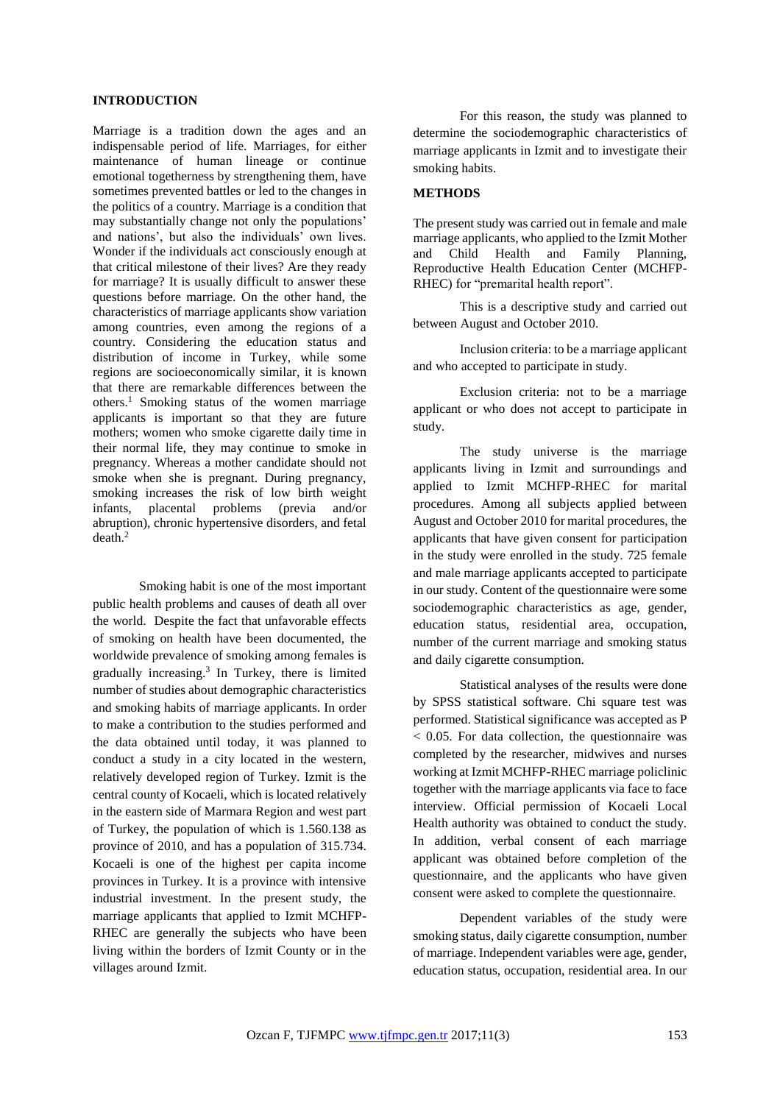### **INTRODUCTION**

Marriage is a tradition down the ages and an indispensable period of life. Marriages, for either maintenance of human lineage or continue emotional togetherness by strengthening them, have sometimes prevented battles or led to the changes in the politics of a country. Marriage is a condition that may substantially change not only the populations' and nations', but also the individuals' own lives. Wonder if the individuals act consciously enough at that critical milestone of their lives? Are they ready for marriage? It is usually difficult to answer these questions before marriage. On the other hand, the characteristics of marriage applicants show variation among countries, even among the regions of a country. Considering the education status and distribution of income in Turkey, while some regions are socioeconomically similar, it is known that there are remarkable differences between the others.<sup>1</sup> Smoking status of the women marriage applicants is important so that they are future mothers; women who smoke cigarette daily time in their normal life, they may continue to smoke in pregnancy. Whereas a mother candidate should not smoke when she is pregnant. During pregnancy, smoking increases the risk of low birth weight infants, placental problems (previa and/or placental problems (previa and/or abruption), chronic hypertensive disorders, and fetal death.<sup>2</sup>

Smoking habit is one of the most important public health problems and causes of death all over the world. Despite the fact that unfavorable effects of smoking on health have been documented, the worldwide prevalence of smoking among females is gradually increasing.<sup>3</sup> In Turkey, there is limited number of studies about demographic characteristics and smoking habits of marriage applicants. In order to make a contribution to the studies performed and the data obtained until today, it was planned to conduct a study in a city located in the western, relatively developed region of Turkey. Izmit is the central county of Kocaeli, which is located relatively in the eastern side of Marmara Region and west part of Turkey, the population of which is 1.560.138 as province of 2010, and has a population of 315.734. Kocaeli is one of the highest per capita income provinces in Turkey. It is a province with intensive industrial investment. In the present study, the marriage applicants that applied to Izmit MCHFP-RHEC are generally the subjects who have been living within the borders of Izmit County or in the villages around Izmit.

For this reason, the study was planned to determine the sociodemographic characteristics of marriage applicants in Izmit and to investigate their smoking habits.

## **METHODS**

The present study was carried out in female and male marriage applicants, who applied to the Izmit Mother and Child Health and Family Planning, Reproductive Health Education Center (MCHFP-RHEC) for "premarital health report".

This is a descriptive study and carried out between August and October 2010.

Inclusion criteria: to be a marriage applicant and who accepted to participate in study.

Exclusion criteria: not to be a marriage applicant or who does not accept to participate in study.

The study universe is the marriage applicants living in Izmit and surroundings and applied to Izmit MCHFP-RHEC for marital procedures. Among all subjects applied between August and October 2010 for marital procedures, the applicants that have given consent for participation in the study were enrolled in the study. 725 female and male marriage applicants accepted to participate in our study. Content of the questionnaire were some sociodemographic characteristics as age, gender, education status, residential area, occupation, number of the current marriage and smoking status and daily cigarette consumption.

Statistical analyses of the results were done by SPSS statistical software. Chi square test was performed. Statistical significance was accepted as P < 0.05. For data collection, the questionnaire was completed by the researcher, midwives and nurses working at Izmit MCHFP-RHEC marriage policlinic together with the marriage applicants via face to face interview. Official permission of Kocaeli Local Health authority was obtained to conduct the study. In addition, verbal consent of each marriage applicant was obtained before completion of the questionnaire, and the applicants who have given consent were asked to complete the questionnaire.

Dependent variables of the study were smoking status, daily cigarette consumption, number of marriage. Independent variables were age, gender, education status, occupation, residential area. In our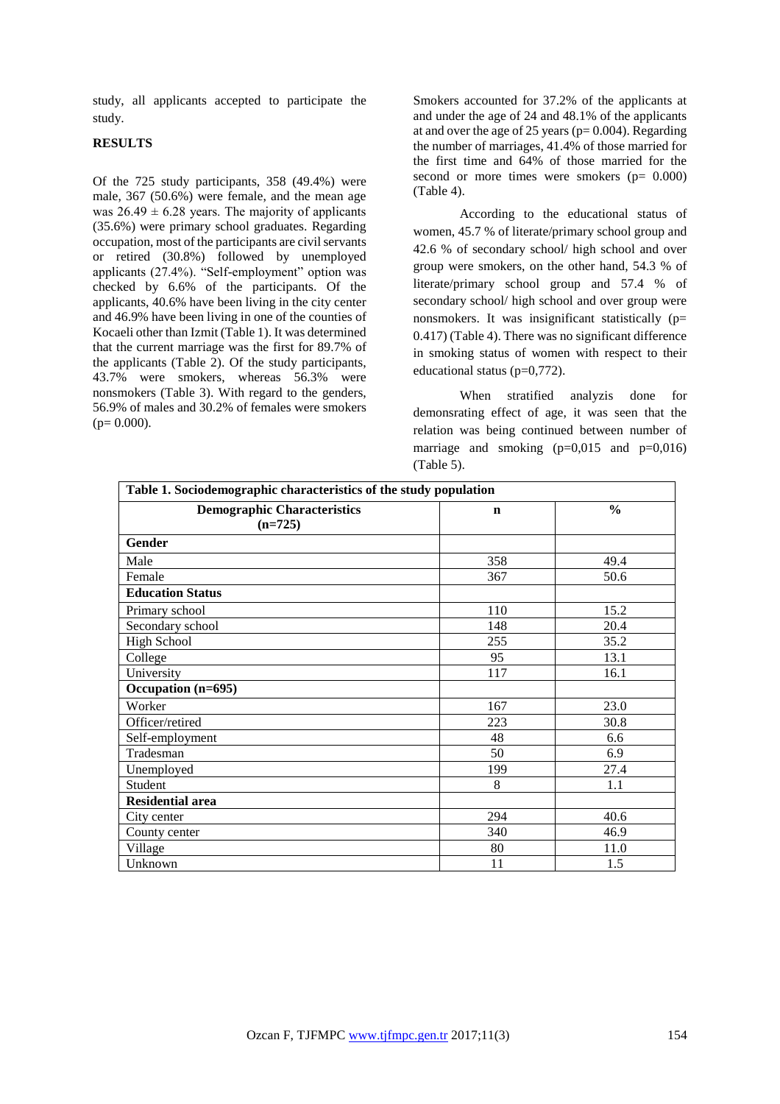study, all applicants accepted to participate the study.

# **RESULTS**

Of the 725 study participants, 358 (49.4%) were male, 367 (50.6%) were female, and the mean age was  $26.49 \pm 6.28$  years. The majority of applicants (35.6%) were primary school graduates. Regarding occupation, most of the participants are civil servants or retired (30.8%) followed by unemployed applicants (27.4%). "Self-employment" option was checked by 6.6% of the participants. Of the applicants, 40.6% have been living in the city center and 46.9% have been living in one of the counties of Kocaeli other than Izmit (Table 1). It was determined that the current marriage was the first for 89.7% of the applicants (Table 2). Of the study participants, 43.7% were smokers, whereas 56.3% were nonsmokers (Table 3). With regard to the genders, 56.9% of males and 30.2% of females were smokers  $(p= 0.000)$ .

Smokers accounted for 37.2% of the applicants at and under the age of 24 and 48.1% of the applicants at and over the age of 25 years ( $p= 0.004$ ). Regarding the number of marriages, 41.4% of those married for the first time and 64% of those married for the second or more times were smokers  $(p= 0.000)$ (Table 4).

According to the educational status of women, 45.7 % of literate/primary school group and 42.6 % of secondary school/ high school and over group were smokers, on the other hand, 54.3 % of literate/primary school group and 57.4 % of secondary school/ high school and over group were nonsmokers. It was insignificant statistically (p= 0.417) (Table 4). There was no significant difference in smoking status of women with respect to their educational status (p=0,772).

When stratified analyzis done for demonsrating effect of age, it was seen that the relation was being continued between number of marriage and smoking  $(p=0,015$  and  $p=0,016)$ (Table 5).

| Table 1. Sociodemographic characteristics of the study population |             |               |  |  |  |  |
|-------------------------------------------------------------------|-------------|---------------|--|--|--|--|
| <b>Demographic Characteristics</b><br>$(n=725)$                   | $\mathbf n$ | $\frac{0}{0}$ |  |  |  |  |
| Gender                                                            |             |               |  |  |  |  |
| Male                                                              | 358         | 49.4          |  |  |  |  |
| Female                                                            | 367         | 50.6          |  |  |  |  |
| <b>Education Status</b>                                           |             |               |  |  |  |  |
| Primary school                                                    | 110         | 15.2          |  |  |  |  |
| Secondary school                                                  | 148         | 20.4          |  |  |  |  |
| <b>High School</b>                                                | 255         | 35.2          |  |  |  |  |
| College                                                           | 95          | 13.1          |  |  |  |  |
| University                                                        | 117         | 16.1          |  |  |  |  |
| Occupation (n=695)                                                |             |               |  |  |  |  |
| Worker                                                            | 167         | 23.0          |  |  |  |  |
| Officer/retired                                                   | 223         | 30.8          |  |  |  |  |
| Self-employment                                                   | 48          | 6.6           |  |  |  |  |
| Tradesman                                                         | 50          | 6.9           |  |  |  |  |
| Unemployed                                                        | 199         | 27.4          |  |  |  |  |
| Student                                                           | 8           | 1.1           |  |  |  |  |
| <b>Residential area</b>                                           |             |               |  |  |  |  |
| City center                                                       | 294         | 40.6          |  |  |  |  |
| County center                                                     | 340         | 46.9          |  |  |  |  |
| Village                                                           | 80          | 11.0          |  |  |  |  |
| Unknown                                                           | 11          | 1.5           |  |  |  |  |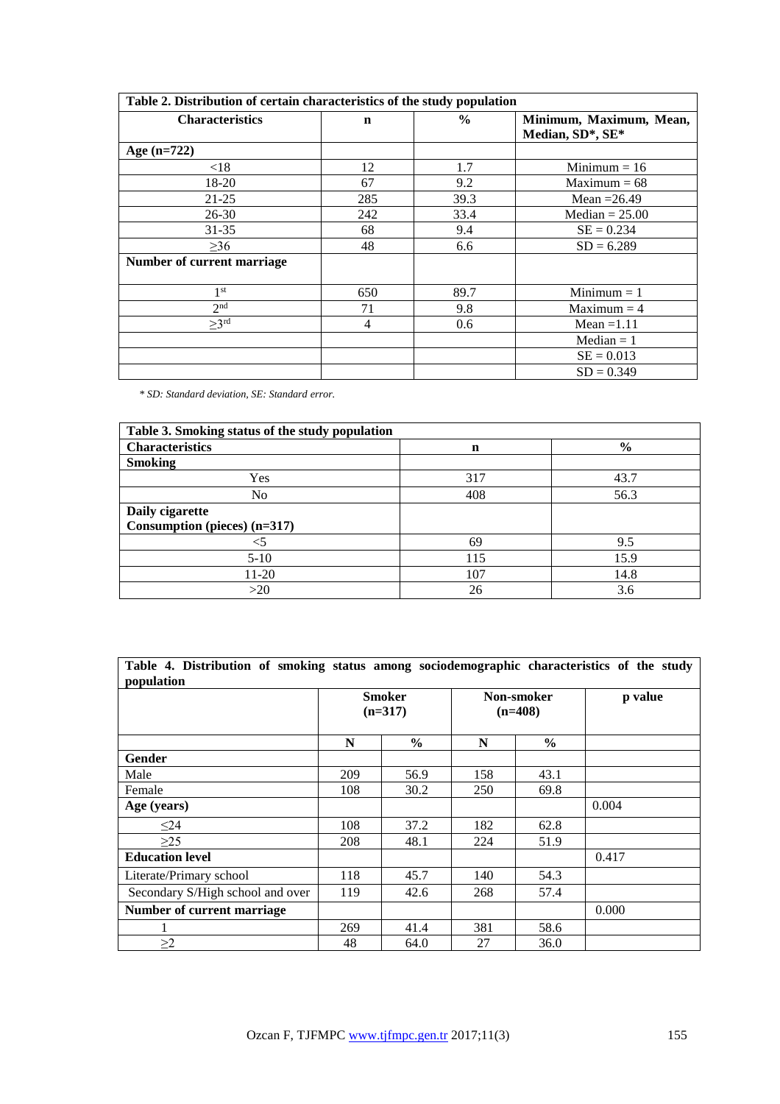| Table 2. Distribution of certain characteristics of the study population |             |               |                                             |  |  |  |  |
|--------------------------------------------------------------------------|-------------|---------------|---------------------------------------------|--|--|--|--|
| <b>Characteristics</b>                                                   | $\mathbf n$ | $\frac{6}{6}$ | Minimum, Maximum, Mean,<br>Median, SD*, SE* |  |  |  |  |
| Age $(n=722)$                                                            |             |               |                                             |  |  |  |  |
| ${<}18$                                                                  | 12          | 1.7           | Minimum $= 16$                              |  |  |  |  |
| 18-20                                                                    | 67          | 9.2           | $Maximum = 68$                              |  |  |  |  |
| $21 - 25$                                                                | 285         | 39.3          | Mean $=26.49$                               |  |  |  |  |
| $26 - 30$                                                                | 242         | 33.4          | Median $= 25.00$                            |  |  |  |  |
| $31 - 35$                                                                | 68          | 9.4           | $SE = 0.234$                                |  |  |  |  |
| >36                                                                      | 48          | 6.6           | $SD = 6.289$                                |  |  |  |  |
| Number of current marriage                                               |             |               |                                             |  |  |  |  |
| 1 <sup>st</sup>                                                          | 650         | 89.7          | $Minimum = 1$                               |  |  |  |  |
| 2 <sub>nd</sub>                                                          | 71          | 9.8           | $Maximum = 4$                               |  |  |  |  |
| >3 <sup>rd</sup>                                                         | 4           | 0.6           | Mean $=1.11$                                |  |  |  |  |
|                                                                          |             |               | $Median = 1$                                |  |  |  |  |
|                                                                          |             |               | $SE = 0.013$                                |  |  |  |  |
|                                                                          |             |               | $SD = 0.349$                                |  |  |  |  |

*\* SD: Standard deviation, SE: Standard error.*

| Table 3. Smoking status of the study population |     |               |  |  |  |  |
|-------------------------------------------------|-----|---------------|--|--|--|--|
| <b>Characteristics</b>                          | n   | $\frac{0}{0}$ |  |  |  |  |
| <b>Smoking</b>                                  |     |               |  |  |  |  |
| Yes                                             | 317 | 43.7          |  |  |  |  |
| No                                              | 408 | 56.3          |  |  |  |  |
| Daily cigarette                                 |     |               |  |  |  |  |
| Consumption (pieces) $(n=317)$                  |     |               |  |  |  |  |
| $<$ 5                                           | 69  | 9.5           |  |  |  |  |
| $5-10$                                          | 115 | 15.9          |  |  |  |  |
| 11-20                                           | 107 | 14.8          |  |  |  |  |
| >20                                             | 26  | 3.6           |  |  |  |  |

|                                  | <b>Smoker</b><br>$(n=317)$ |               | Non-smoker<br>$(n=408)$ |               | p value |
|----------------------------------|----------------------------|---------------|-------------------------|---------------|---------|
|                                  | N                          | $\frac{6}{6}$ | N                       | $\frac{6}{6}$ |         |
| <b>Gender</b>                    |                            |               |                         |               |         |
| Male                             | 209                        | 56.9          | 158                     | 43.1          |         |
| Female                           | 108                        | 30.2          | 250                     | 69.8          |         |
| Age (years)                      |                            |               |                         |               | 0.004   |
| $\leq$ 24                        | 108                        | 37.2          | 182                     | 62.8          |         |
| >25                              | 208                        | 48.1          | 224                     | 51.9          |         |
| <b>Education level</b>           |                            |               |                         |               | 0.417   |
| Literate/Primary school          | 118                        | 45.7          | 140                     | 54.3          |         |
| Secondary S/High school and over | 119                        | 42.6          | 268                     | 57.4          |         |
| Number of current marriage       |                            |               |                         |               | 0.000   |
|                                  | 269                        | 41.4          | 381                     | 58.6          |         |
| $\geq$ 2                         | 48                         | 64.0          | 27                      | 36.0          |         |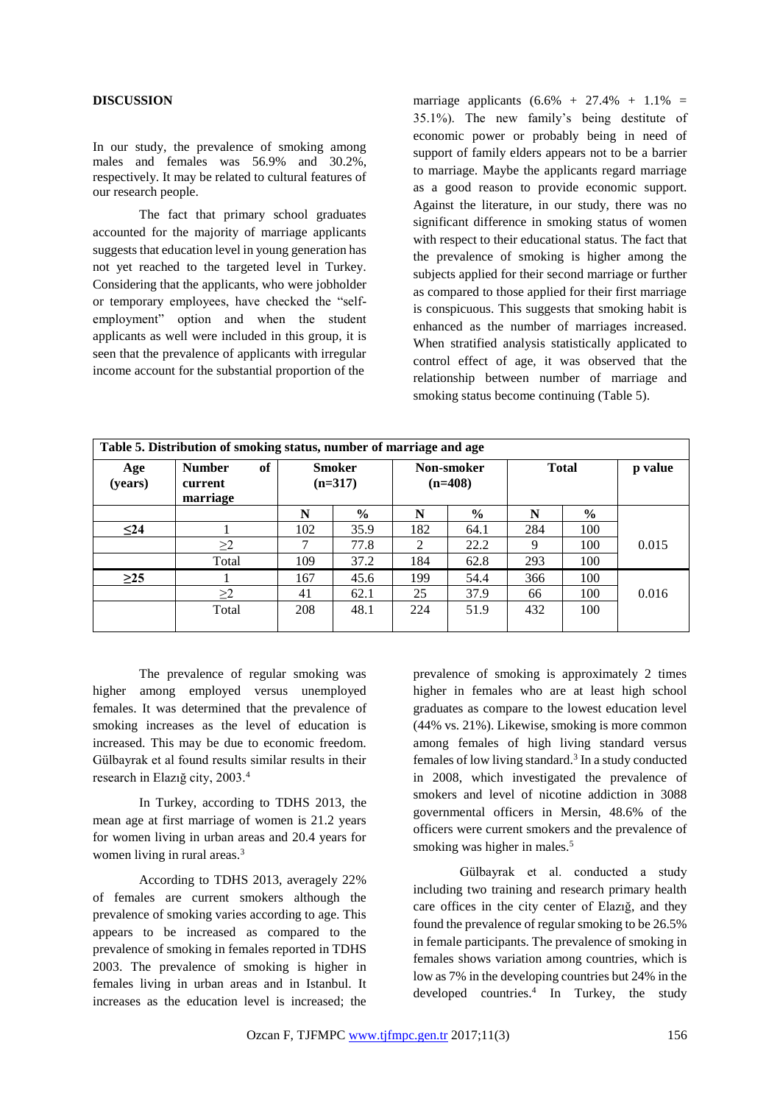## **DISCUSSION**

In our study, the prevalence of smoking among males and females was 56.9% and 30.2%, respectively. It may be related to cultural features of our research people.

The fact that primary school graduates accounted for the majority of marriage applicants suggests that education level in young generation has not yet reached to the targeted level in Turkey. Considering that the applicants, who were jobholder or temporary employees, have checked the "selfemployment" option and when the student applicants as well were included in this group, it is seen that the prevalence of applicants with irregular income account for the substantial proportion of the

marriage applicants  $(6.6\% + 27.4\% + 1.1\% =$ 35.1%). The new family's being destitute of economic power or probably being in need of support of family elders appears not to be a barrier to marriage. Maybe the applicants regard marriage as a good reason to provide economic support. Against the literature, in our study, there was no significant difference in smoking status of women with respect to their educational status. The fact that the prevalence of smoking is higher among the subjects applied for their second marriage or further as compared to those applied for their first marriage is conspicuous. This suggests that smoking habit is enhanced as the number of marriages increased. When stratified analysis statistically applicated to control effect of age, it was observed that the relationship between number of marriage and smoking status become continuing (Table 5).

| Table 5. Distribution of smoking status, number of marriage and age |                                            |                     |               |                         |               |              |               |         |
|---------------------------------------------------------------------|--------------------------------------------|---------------------|---------------|-------------------------|---------------|--------------|---------------|---------|
| Age<br>(years)                                                      | of<br><b>Number</b><br>current<br>marriage | Smoker<br>$(n=317)$ |               | Non-smoker<br>$(n=408)$ |               | <b>Total</b> |               | p value |
|                                                                     |                                            | N                   | $\frac{0}{0}$ | N                       | $\frac{0}{0}$ | N            | $\frac{6}{9}$ |         |
| $\leq$ 24                                                           |                                            | 102                 | 35.9          | 182                     | 64.1          | 284          | 100           |         |
|                                                                     | $\geq$ 2                                   | ┑                   | 77.8          | $2^{\circ}$             | 22.2          | 9            | 100           | 0.015   |
|                                                                     | Total                                      | 109                 | 37.2          | 184                     | 62.8          | 293          | 100           |         |
| $\geq$ 25                                                           |                                            | 167                 | 45.6          | 199                     | 54.4          | 366          | 100           |         |
|                                                                     | $\geq$ 2                                   | 41                  | 62.1          | 25                      | 37.9          | 66           | 100           | 0.016   |
|                                                                     | Total                                      | 208                 | 48.1          | 224                     | 51.9          | 432          | 100           |         |

The prevalence of regular smoking was higher among employed versus unemployed females. It was determined that the prevalence of smoking increases as the level of education is increased. This may be due to economic freedom. Gülbayrak et al found results similar results in their research in Elazığ city, 2003.<sup>4</sup>

In Turkey, according to TDHS 2013, the mean age at first marriage of women is 21.2 years for women living in urban areas and 20.4 years for women living in rural areas.<sup>3</sup>

According to TDHS 2013, averagely 22% of females are current smokers although the prevalence of smoking varies according to age. This appears to be increased as compared to the prevalence of smoking in females reported in TDHS 2003. The prevalence of smoking is higher in females living in urban areas and in Istanbul. It increases as the education level is increased; the

prevalence of smoking is approximately 2 times higher in females who are at least high school graduates as compare to the lowest education level (44% vs. 21%). Likewise, smoking is more common among females of high living standard versus females of low living standard.<sup>3</sup> In a study conducted in 2008, which investigated the prevalence of smokers and level of nicotine addiction in 3088 governmental officers in Mersin, 48.6% of the officers were current smokers and the prevalence of smoking was higher in males.<sup>5</sup>

Gülbayrak et al. conducted a study including two training and research primary health care offices in the city center of Elazığ, and they found the prevalence of regular smoking to be 26.5% in female participants. The prevalence of smoking in females shows variation among countries, which is low as 7% in the developing countries but 24% in the developed countries. 4 In Turkey, the study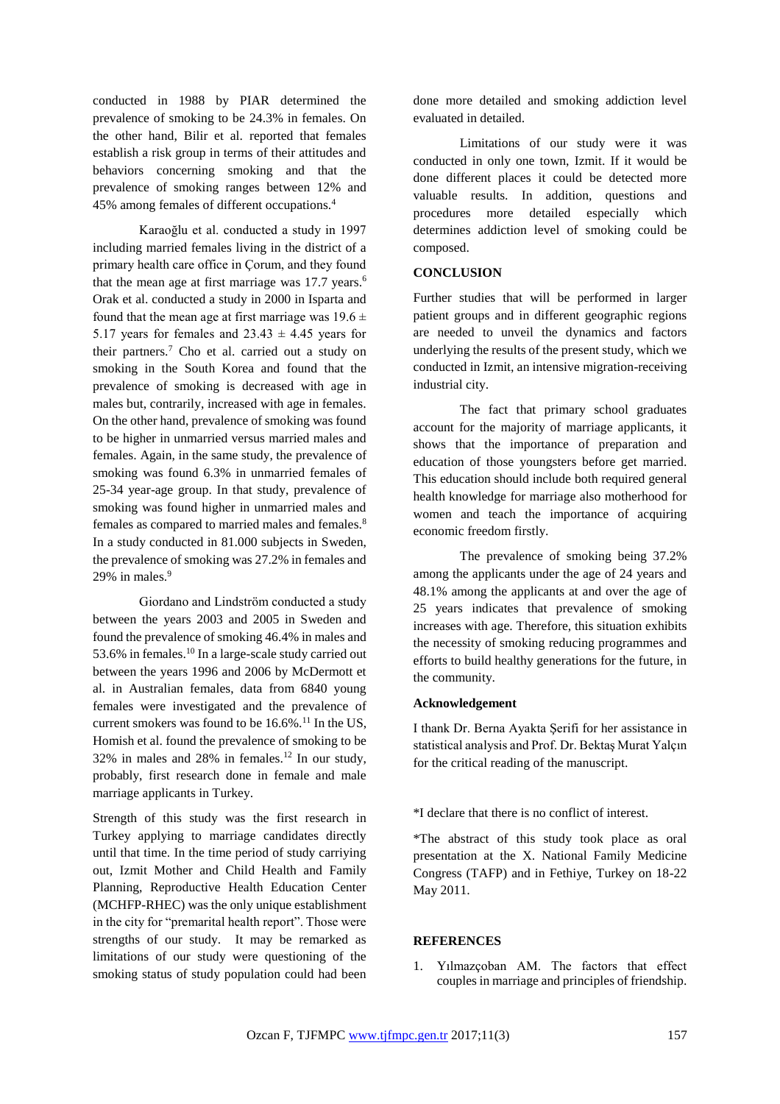conducted in 1988 by PIAR determined the prevalence of smoking to be 24.3% in females. On the other hand, Bilir et al. reported that females establish a risk group in terms of their attitudes and behaviors concerning smoking and that the prevalence of smoking ranges between 12% and 45% among females of different occupations.<sup>4</sup>

Karaoğlu et al. conducted a study in 1997 including married females living in the district of a primary health care office in Çorum, and they found that the mean age at first marriage was  $17.7$  years.<sup>6</sup> Orak et al. conducted a study in 2000 in Isparta and found that the mean age at first marriage was  $19.6 \pm$ 5.17 years for females and  $23.43 \pm 4.45$  years for their partners.<sup>7</sup> Cho et al. carried out a study on smoking in the South Korea and found that the prevalence of smoking is decreased with age in males but, contrarily, increased with age in females. On the other hand, prevalence of smoking was found to be higher in unmarried versus married males and females. Again, in the same study, the prevalence of smoking was found 6.3% in unmarried females of 25-34 year-age group. In that study, prevalence of smoking was found higher in unmarried males and females as compared to married males and females.<sup>8</sup> In a study conducted in 81.000 subjects in Sweden, the prevalence of smoking was 27.2% in females and 29% in males. $9$ 

Giordano and Lindström conducted a study between the years 2003 and 2005 in Sweden and found the prevalence of smoking 46.4% in males and 53.6% in females.<sup>10</sup> In a large-scale study carried out between the years 1996 and 2006 by McDermott et al. in Australian females, data from 6840 young females were investigated and the prevalence of current smokers was found to be  $16.6\%$ .<sup>11</sup> In the US, Homish et al. found the prevalence of smoking to be  $32\%$  in males and  $28\%$  in females.<sup>12</sup> In our study, probably, first research done in female and male marriage applicants in Turkey.

Strength of this study was the first research in Turkey applying to marriage candidates directly until that time. In the time period of study carriying out, Izmit Mother and Child Health and Family Planning, Reproductive Health Education Center (MCHFP-RHEC) was the only unique establishment in the city for "premarital health report". Those were strengths of our study. It may be remarked as limitations of our study were questioning of the smoking status of study population could had been

done more detailed and smoking addiction level evaluated in detailed.

Limitations of our study were it was conducted in only one town, Izmit. If it would be done different places it could be detected more valuable results. In addition, questions and procedures more detailed especially which determines addiction level of smoking could be composed.

# **CONCLUSION**

Further studies that will be performed in larger patient groups and in different geographic regions are needed to unveil the dynamics and factors underlying the results of the present study, which we conducted in Izmit, an intensive migration-receiving industrial city.

The fact that primary school graduates account for the majority of marriage applicants, it shows that the importance of preparation and education of those youngsters before get married. This education should include both required general health knowledge for marriage also motherhood for women and teach the importance of acquiring economic freedom firstly.

The prevalence of smoking being 37.2% among the applicants under the age of 24 years and 48.1% among the applicants at and over the age of 25 years indicates that prevalence of smoking increases with age. Therefore, this situation exhibits the necessity of smoking reducing programmes and efforts to build healthy generations for the future, in the community.

#### **Acknowledgement**

I thank Dr. Berna Ayakta Şerifi for her assistance in statistical analysis and Prof. Dr. Bektaş Murat Yalçın for the critical reading of the manuscript.

\*I declare that there is no conflict of interest.

\*The abstract of this study took place as oral presentation at the X. National Family Medicine Congress (TAFP) and in Fethiye, Turkey on 18-22 May 2011.

# **REFERENCES**

1. Yılmazçoban AM. The factors that effect couples in marriage and principles of friendship.